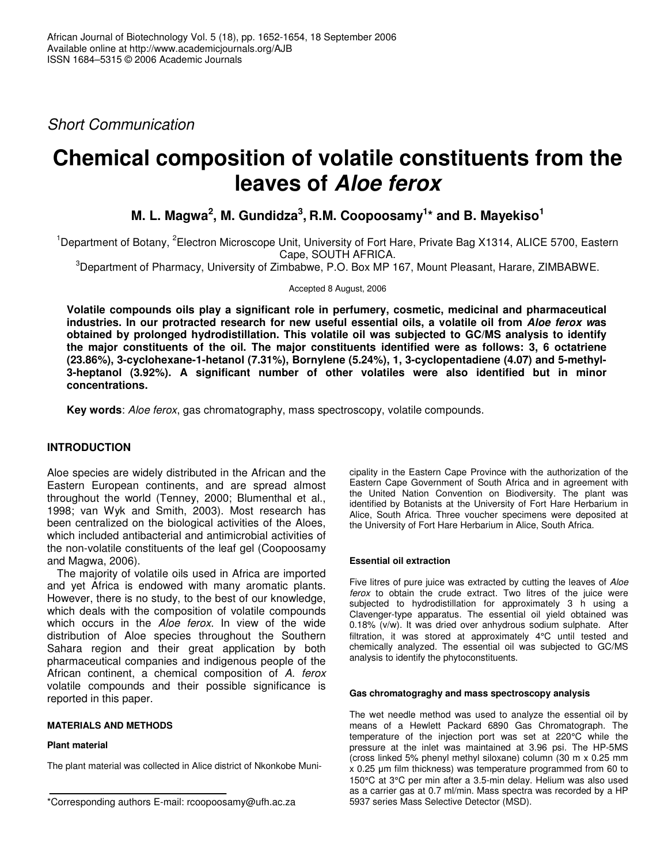*Short Communication*

# **Chemical composition of volatile constituents from the leaves of** *Aloe ferox*

**M. L. Magwa 2 , M. Gundidza 3 , R.M. Coopoosamy 1 \* and B. Mayekiso 1**

<sup>1</sup>Department of Botany, <sup>2</sup>Electron Microscope Unit, University of Fort Hare, Private Bag X1314, ALICE 5700, Eastern Cape, SOUTH AFRICA.

<sup>3</sup>Department of Pharmacy, University of Zimbabwe, P.O. Box MP 167, Mount Pleasant, Harare, ZIMBABWE.

Accepted 8 August, 2006

**Volatile compounds oils play a significant role in perfumery, cosmetic, medicinal and pharmaceutical** industries. In our protracted research for new useful essential oils, a volatile oil from Aloe ferox was **obtained by prolonged hydrodistillation. This volatile oil was subjected to GC/MS analysis to identify the major constituents of the oil. The major constituents identified were as follows: 3, 6 octatriene (23.86%), 3-cyclohexane-1-hetanol (7.31%), Bornylene (5.24%), 1, 3-cyclopentadiene (4.07) and 5-methyl-3-heptanol (3.92%). A significant number of other volatiles were also identified but in minor concentrations.**

**Key words**: *Aloe ferox*, gas chromatography, mass spectroscopy, volatile compounds.

# **INTRODUCTION**

Aloe species are widely distributed in the African and the Eastern European continents, and are spread almost throughout the world (Tenney, 2000; Blumenthal et al., 1998; van Wyk and Smith, 2003). Most research has been centralized on the biological activities of the Aloes, which included antibacterial and antimicrobial activities of the non-volatile constituents of the leaf gel (Coopoosamy and Magwa, 2006).

The majority of volatile oils used in Africa are imported and yet Africa is endowed with many aromatic plants. However, there is no study, to the best of our knowledge, which deals with the composition of volatile compounds which occurs in the *Aloe ferox*. In view of the wide distribution of Aloe species throughout the Southern Sahara region and their great application by both pharmaceutical companies and indigenous people of the African continent, a chemical composition of *A. ferox* volatile compounds and their possible significance is reported in this paper.

### **MATERIALS AND METHODS**

### **Plant material**

The plant material was collected in Alice district of Nkonkobe Muni-

cipality in the Eastern Cape Province with the authorization of the Eastern Cape Government of South Africa and in agreement with the United Nation Convention on Biodiversity. The plant was identified by Botanists at the University of Fort Hare Herbarium in Alice, South Africa. Three voucher specimens were deposited at the University of Fort Hare Herbarium in Alice, South Africa.

### **Essential oil extraction**

Five litres of pure juice was extracted by cutting the leaves of *Aloe ferox* to obtain the crude extract. Two litres of the juice were subjected to hydrodistillation for approximately 3 h using a Clavenger-type apparatus. The essential oil yield obtained was 0.18% (v/w). It was dried over anhydrous sodium sulphate. After filtration, it was stored at approximately 4°C until tested and chemically analyzed. The essential oil was subjected to GC/MS analysis to identify the phytoconstituents.

#### **Gas chromatograghy and mass spectroscopy analysis**

The wet needle method was used to analyze the essential oil by means of a Hewlett Packard 6890 Gas Chromatograph. The temperature of the injection port was set at 220°C while the pressure at the inlet was maintained at 3.96 psi. The HP-5MS (cross linked 5% phenyl methyl siloxane) column (30 m x 0.25 mm  $x$  0.25  $\mu$ m film thickness) was temperature programmed from 60 to 150°C at 3°C per min after a 3.5-min delay. Helium was also used as a carrier gas at 0.7 ml/min. Mass spectra was recorded by a HP 5937 series Mass Selective Detector (MSD).

<sup>\*</sup>Corresponding authors E-mail: rcoopoosamy@ufh.ac.za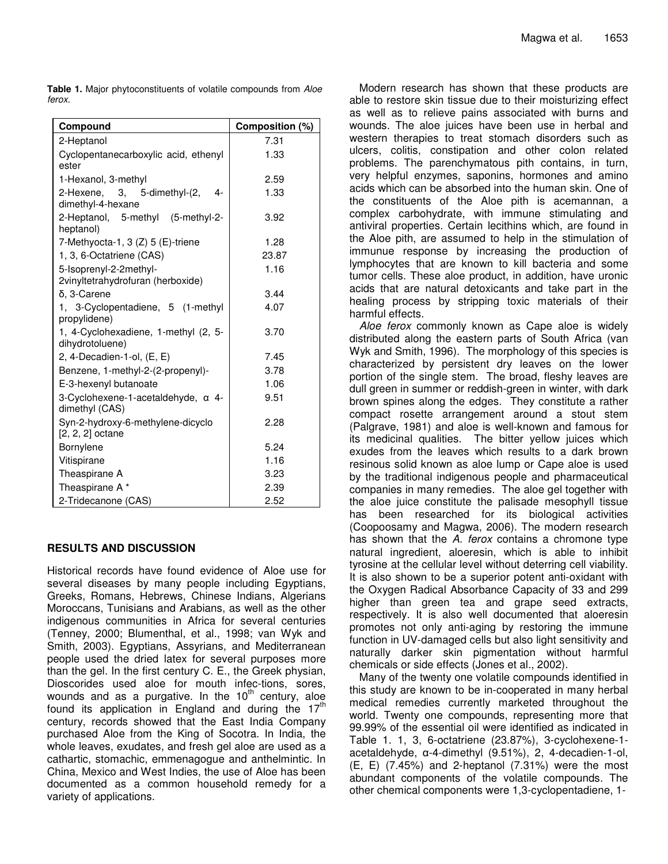**Table 1.** Major phytoconstituents of volatile compounds from *Aloe ferox*.

| Compound                                                    | Composition (%) |
|-------------------------------------------------------------|-----------------|
| 2-Heptanol                                                  | 7.31            |
| Cyclopentanecarboxylic acid, ethenyl<br>ester               | 1.33            |
| 1-Hexanol, 3-methyl                                         | 2.59            |
| 2-Hexene, 3, 5-dimethyl-(2,<br>4-<br>dimethyl-4-hexane      | 1.33            |
| 2-Heptanol, 5-methyl (5-methyl-2-<br>heptanol)              | 3.92            |
| 7-Methyocta-1, 3 (Z) 5 (E)-triene                           | 1.28            |
| 1, 3, 6-Octatriene (CAS)                                    | 23.87           |
| 5-Isoprenyl-2-2methyl-<br>2vinyltetrahydrofuran (herboxide) | 1.16            |
| δ, 3-Carene                                                 | 3.44            |
| 1, 3-Cyclopentadiene, 5 (1-methyl<br>propylidene)           | 4.07            |
| 1, 4-Cyclohexadiene, 1-methyl (2, 5-<br>dihydrotoluene)     | 3.70            |
| 2, 4-Decadien-1-ol, (E, E)                                  | 7.45            |
| Benzene, 1-methyl-2-(2-propenyl)-                           | 3.78            |
| E-3-hexenyl butanoate                                       | 1.06            |
| 3-Cyclohexene-1-acetaldehyde, a 4-<br>dimethyl (CAS)        | 9.51            |
| Syn-2-hydroxy-6-methylene-dicyclo<br>$[2, 2, 2]$ octane     | 2.28            |
| Bornylene                                                   | 5.24            |
| Vitispirane                                                 | 1.16            |
| Theaspirane A                                               | 3.23            |
| Theaspirane A*                                              | 2.39            |
| 2-Tridecanone (CAS)                                         | 2.52            |

### **RESULTS AND DISCUSSION**

Historical records have found evidence of Aloe use for several diseases by many people including Egyptians, Greeks, Romans, Hebrews, Chinese Indians, Algerians Moroccans, Tunisians and Arabians, as well as the other indigenous communities in Africa for several centuries (Tenney, 2000; Blumenthal, et al., 1998; van Wyk and Smith, 2003). Egyptians, Assyrians, and Mediterranean people used the dried latex for several purposes more than the gel. In the first century C. E., the Greek physian, Dioscorides used aloe for mouth infec-tions, sores, wounds and as a purgative. In the 10<sup>th</sup> century, aloe found its application in England and during the  $17<sup>th</sup>$ century, records showed that the East India Company purchased Aloe from the King of Socotra. In India, the whole leaves, exudates, and fresh gel aloe are used as a cathartic, stomachic, emmenagogue and anthelmintic. In China, Mexico and West Indies, the use of Aloe has been documented as a common household remedy for a variety of applications.

Modern research has shown that these products are able to restore skin tissue due to their moisturizing effect as well as to relieve pains associated with burns and wounds. The aloe juices have been use in herbal and western therapies to treat stomach disorders such as ulcers, colitis, constipation and other colon related problems. The parenchymatous pith contains, in turn, very helpful enzymes, saponins, hormones and amino acids which can be absorbed into the human skin. One of the constituents of the Aloe pith is acemannan, a complex carbohydrate, with immune stimulating and antiviral properties. Certain lecithins which, are found in the Aloe pith, are assumed to help in the stimulation of immunue response by increasing the production of lymphocytes that are known to kill bacteria and some tumor cells. These aloe product, in addition, have uronic acids that are natural detoxicants and take part in the healing process by stripping toxic materials of their harmful effects.

*Aloe ferox* commonly known as Cape aloe is widely distributed along the eastern parts of South Africa (van Wyk and Smith, 1996). The morphology of this species is characterized by persistent dry leaves on the lower portion of the single stem. The broad, fleshy leaves are dull green in summer or reddish-green in winter, with dark brown spines along the edges. They constitute a rather compact rosette arrangement around a stout stem (Palgrave, 1981) and aloe is well-known and famous for its medicinal qualities. The bitter yellow juices which exudes from the leaves which results to a dark brown resinous solid known as aloe lump or Cape aloe is used by the traditional indigenous people and pharmaceutical companies in many remedies. The aloe gel together with the aloe juice constitute the palisade mesophyll tissue has been researched for its biological activities (Coopoosamy and Magwa, 2006). The modern research has shown that the *A. ferox* contains a chromone type natural ingredient, aloeresin, which is able to inhibit tyrosine at the cellular level without deterring cell viability. It is also shown to be a superior potent anti-oxidant with the Oxygen Radical Absorbance Capacity of 33 and 299 higher than green tea and grape seed extracts, respectively. It is also well documented that aloeresin promotes not only anti-aging by restoring the immune function in UV-damaged cells but also light sensitivity and naturally darker skin pigmentation without harmful chemicals or side effects (Jones et al., 2002).

Many of the twenty one volatile compounds identified in this study are known to be in-cooperated in many herbal medical remedies currently marketed throughout the world. Twenty one compounds, representing more that 99.99% of the essential oil were identified as indicated in Table 1. 1, 3, 6-octatriene (23.87%), 3-cyclohexene-1  $acetaldehyde,  $\alpha$ -4-dimethyl (9.51%), 2, 4-decadien-1-ol,$ (E, E) (7.45%) and 2-heptanol (7.31%) were the most abundant components of the volatile compounds. The other chemical components were 1,3-cyclopentadiene, 1